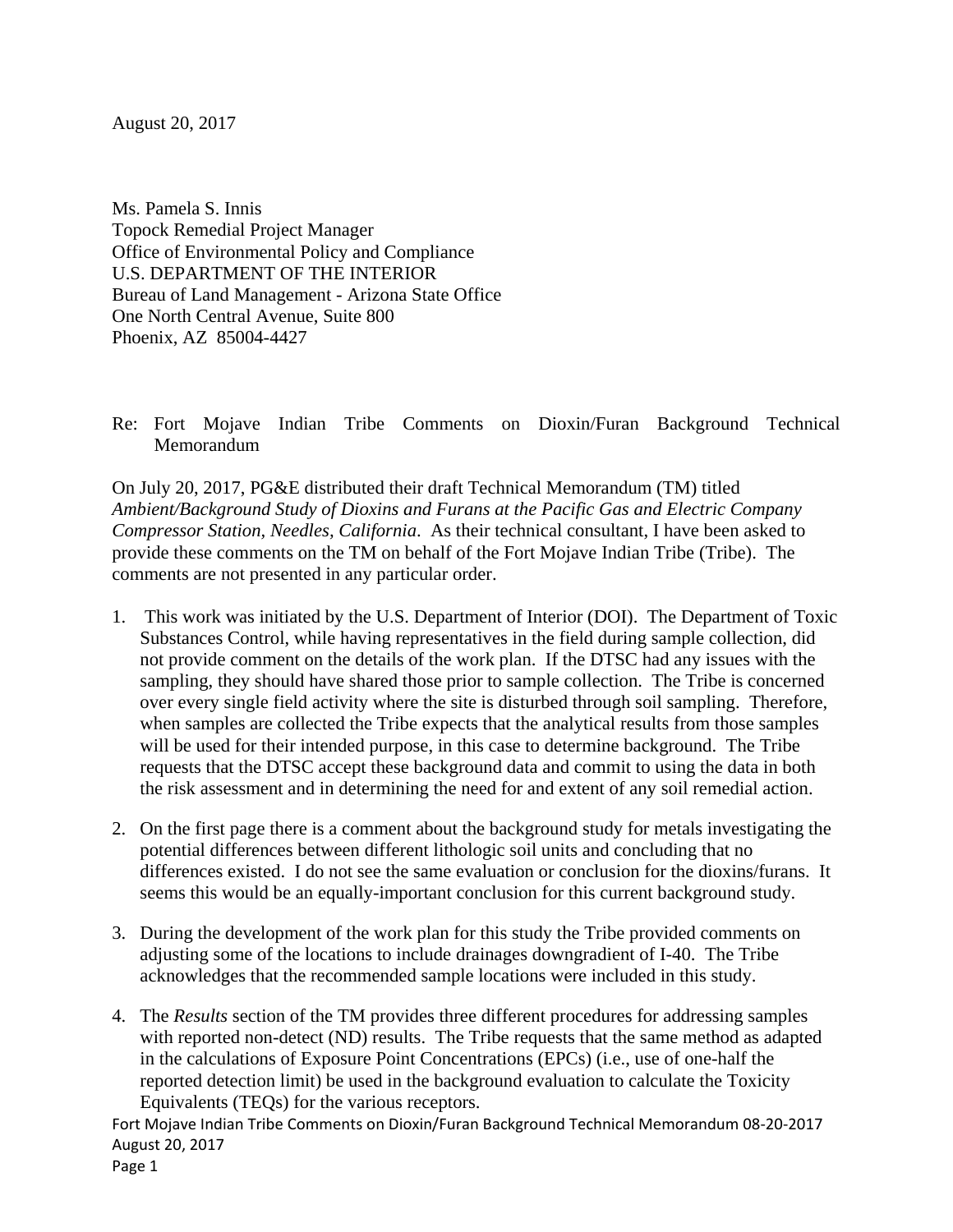August 20, 2017

Ms. Pamela S. Innis Topock Remedial Project Manager Office of Environmental Policy and Compliance U.S. DEPARTMENT OF THE INTERIOR Bureau of Land Management - Arizona State Office One North Central Avenue, Suite 800 Phoenix, AZ 85004-4427

Re: Fort Mojave Indian Tribe Comments on Dioxin/Furan Background Technical Memorandum

On July 20, 2017, PG&E distributed their draft Technical Memorandum (TM) titled *Ambient/Background Study of Dioxins and Furans at the Pacific Gas and Electric Company Compressor Station, Needles, California*. As their technical consultant, I have been asked to provide these comments on the TM on behalf of the Fort Mojave Indian Tribe (Tribe). The comments are not presented in any particular order.

- 1. This work was initiated by the U.S. Department of Interior (DOI). The Department of Toxic Substances Control, while having representatives in the field during sample collection, did not provide comment on the details of the work plan. If the DTSC had any issues with the sampling, they should have shared those prior to sample collection. The Tribe is concerned over every single field activity where the site is disturbed through soil sampling. Therefore, when samples are collected the Tribe expects that the analytical results from those samples will be used for their intended purpose, in this case to determine background. The Tribe requests that the DTSC accept these background data and commit to using the data in both the risk assessment and in determining the need for and extent of any soil remedial action.
- 2. On the first page there is a comment about the background study for metals investigating the potential differences between different lithologic soil units and concluding that no differences existed. I do not see the same evaluation or conclusion for the dioxins/furans. It seems this would be an equally-important conclusion for this current background study.
- 3. During the development of the work plan for this study the Tribe provided comments on adjusting some of the locations to include drainages downgradient of I-40. The Tribe acknowledges that the recommended sample locations were included in this study.
- 4. The *Results* section of the TM provides three different procedures for addressing samples with reported non-detect (ND) results. The Tribe requests that the same method as adapted in the calculations of Exposure Point Concentrations (EPCs) (i.e., use of one-half the reported detection limit) be used in the background evaluation to calculate the Toxicity Equivalents (TEQs) for the various receptors.

Fort Mojave Indian Tribe Comments on Dioxin/Furan Background Technical Memorandum 08‐20‐2017 August 20, 2017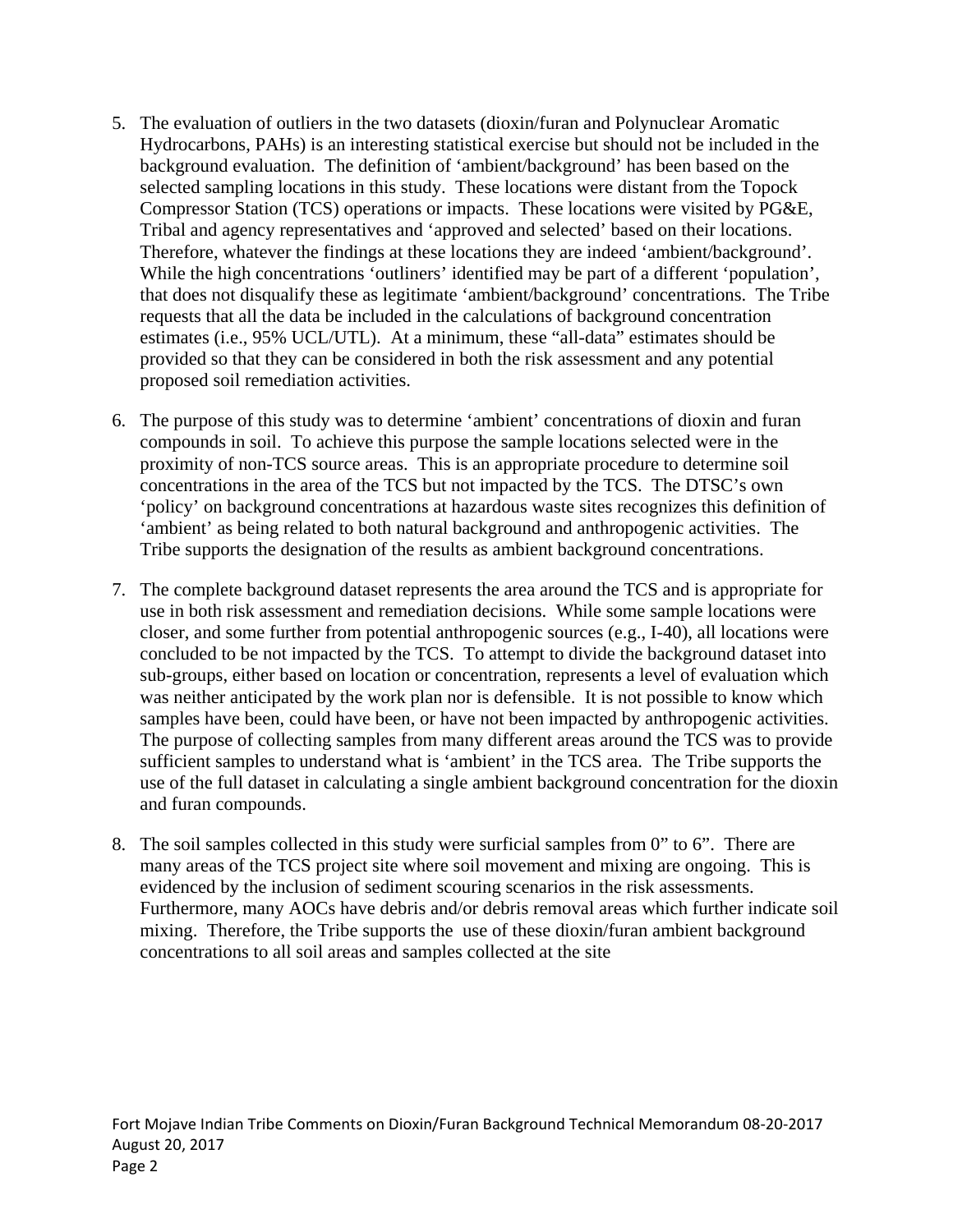- 5. The evaluation of outliers in the two datasets (dioxin/furan and Polynuclear Aromatic Hydrocarbons, PAHs) is an interesting statistical exercise but should not be included in the background evaluation. The definition of 'ambient/background' has been based on the selected sampling locations in this study. These locations were distant from the Topock Compressor Station (TCS) operations or impacts. These locations were visited by PG&E, Tribal and agency representatives and 'approved and selected' based on their locations. Therefore, whatever the findings at these locations they are indeed 'ambient/background'. While the high concentrations 'outliners' identified may be part of a different 'population', that does not disqualify these as legitimate 'ambient/background' concentrations. The Tribe requests that all the data be included in the calculations of background concentration estimates (i.e., 95% UCL/UTL). At a minimum, these "all-data" estimates should be provided so that they can be considered in both the risk assessment and any potential proposed soil remediation activities.
- 6. The purpose of this study was to determine 'ambient' concentrations of dioxin and furan compounds in soil. To achieve this purpose the sample locations selected were in the proximity of non-TCS source areas. This is an appropriate procedure to determine soil concentrations in the area of the TCS but not impacted by the TCS. The DTSC's own 'policy' on background concentrations at hazardous waste sites recognizes this definition of 'ambient' as being related to both natural background and anthropogenic activities. The Tribe supports the designation of the results as ambient background concentrations.
- 7. The complete background dataset represents the area around the TCS and is appropriate for use in both risk assessment and remediation decisions. While some sample locations were closer, and some further from potential anthropogenic sources (e.g., I-40), all locations were concluded to be not impacted by the TCS. To attempt to divide the background dataset into sub-groups, either based on location or concentration, represents a level of evaluation which was neither anticipated by the work plan nor is defensible. It is not possible to know which samples have been, could have been, or have not been impacted by anthropogenic activities. The purpose of collecting samples from many different areas around the TCS was to provide sufficient samples to understand what is 'ambient' in the TCS area. The Tribe supports the use of the full dataset in calculating a single ambient background concentration for the dioxin and furan compounds.
- 8. The soil samples collected in this study were surficial samples from 0" to 6". There are many areas of the TCS project site where soil movement and mixing are ongoing. This is evidenced by the inclusion of sediment scouring scenarios in the risk assessments. Furthermore, many AOCs have debris and/or debris removal areas which further indicate soil mixing. Therefore, the Tribe supports the use of these dioxin/furan ambient background concentrations to all soil areas and samples collected at the site